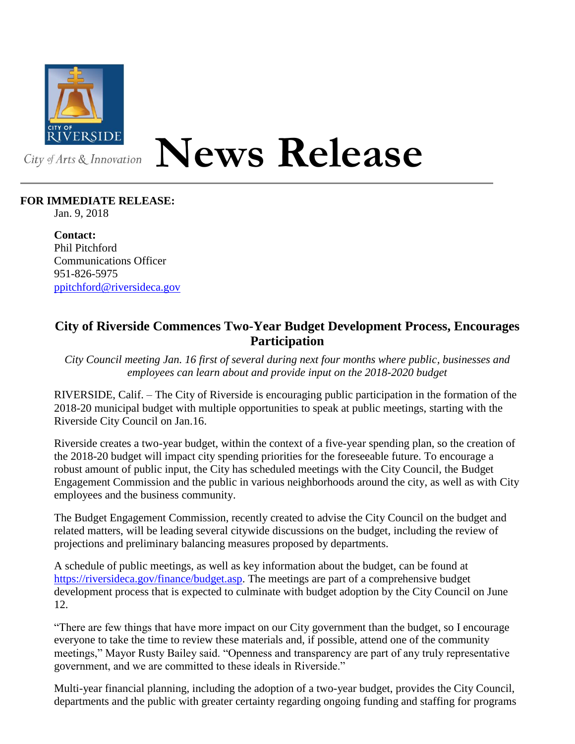

## **News Release**

## **FOR IMMEDIATE RELEASE:**

Jan. 9, 2018

**Contact:** Phil Pitchford Communications Officer 951-826-5975 [ppitchford@riversideca.gov](mailto:ppitchford@riversideca.gov)

## **City of Riverside Commences Two-Year Budget Development Process, Encourages Participation**

*City Council meeting Jan. 16 first of several during next four months where public, businesses and employees can learn about and provide input on the 2018-2020 budget*

RIVERSIDE, Calif. – The City of Riverside is encouraging public participation in the formation of the 2018-20 municipal budget with multiple opportunities to speak at public meetings, starting with the Riverside City Council on Jan.16.

Riverside creates a two-year budget, within the context of a five-year spending plan, so the creation of the 2018-20 budget will impact city spending priorities for the foreseeable future. To encourage a robust amount of public input, the City has scheduled meetings with the City Council, the Budget Engagement Commission and the public in various neighborhoods around the city, as well as with City employees and the business community.

The Budget Engagement Commission, recently created to advise the City Council on the budget and related matters, will be leading several citywide discussions on the budget, including the review of projections and preliminary balancing measures proposed by departments.

A schedule of public meetings, as well as key information about the budget, can be found at [https://riversideca.gov/finance/budget.asp.](https://riversideca.gov/finance/budget.asp) The meetings are part of a comprehensive budget development process that is expected to culminate with budget adoption by the City Council on June 12.

"There are few things that have more impact on our City government than the budget, so I encourage everyone to take the time to review these materials and, if possible, attend one of the community meetings," Mayor Rusty Bailey said. "Openness and transparency are part of any truly representative government, and we are committed to these ideals in Riverside."

Multi-year financial planning, including the adoption of a two-year budget, provides the City Council, departments and the public with greater certainty regarding ongoing funding and staffing for programs